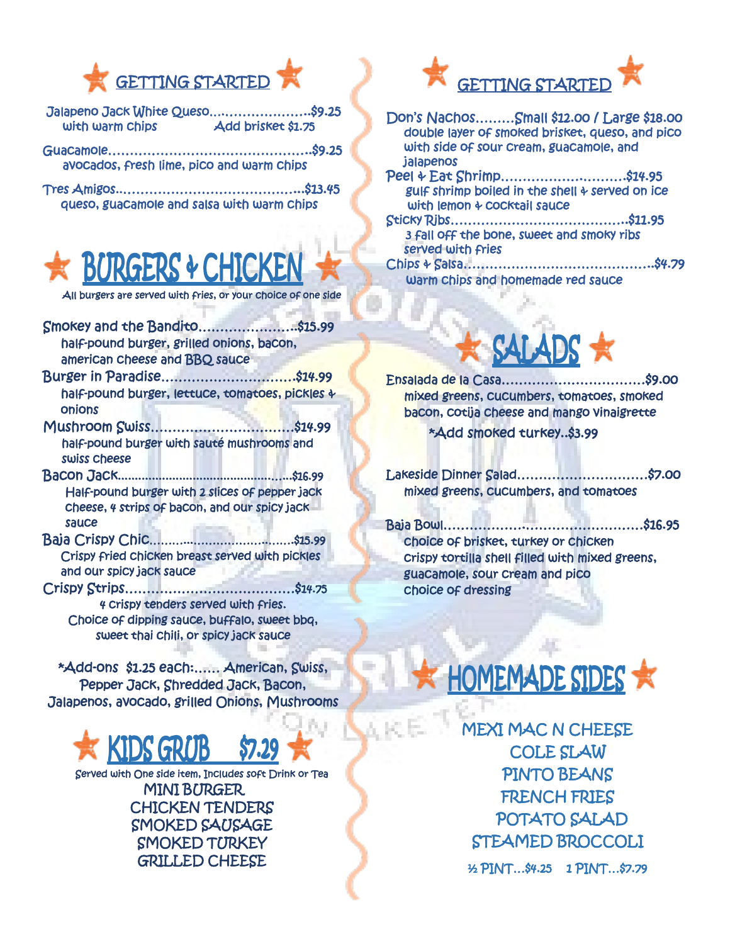

- Jalapeno Jack White Queso….………………..\$9.25 with warm chips **Add brisket \$1.75**
- Guacamole………………………………………..\$9.25 avocados, fresh lime, pico and warm chips
- Tres Amigos..…………………………………...\$13.45 queso, guacamole and salsa with warm chips



All burgers are served with fries, or your choice of one side

- Smokey and the Bandito…………………..\$15.99 half-pound burger, grilled onions, bacon, american cheese and BBQ sauce
- Burger in Paradise………………………….\$14.99 half-pound burger, lettuce, tomatoes, pickles & onions
- Mushroom Swiss……………………………\$14.99 half-pound burger with sauté mushrooms and swiss cheese
- Bacon Jack.............................................…...\$16.99 Half-pound burger with 2 slices of pepper jack cheese, 4 strips of bacon, and our spicy jack sauce
- Baja Crispy Chic………...………………..…….\$15.99 Crispy fried chicken breast served with pickles and our spicy jack sauce
- Crispy Strips…………………………………\$14.75 4 crispy tenders served with fries. Choice of dipping sauce, buffalo, sweet bbq, sweet thai chili, or spicy jack sauce

\*Add-ons \$1.25 each:…… American, Swiss, Pepper Jack, Shredded Jack, Bacon, Jalapenos, avocado, grilled Onions, Mushrooms



Served with One side item, Includes soft Drink or Tea MINI BURGER CHICKEN TENDERS SMOKED SAUSAGE SMOKED TURKEY GRILLED CHEESE



Don's Nachos………Small \$12.00 / Large \$18.00 double layer of smoked brisket, queso, and pico with side of sour cream, guacamole, and jalapenos Peel & Eat Shrimp……………….……….\$14.95 gulf shrimp boiled in the shell  $4$  served on ice with lemon & cocktail sauce Sticky Ribs…………………………………..\$11.95 3 fall off the bone, sweet and smoky ribs served with fries Chips & Salsa……………………………………..\$4.79 warm chips and homemade red sauce



Ensalada de la Casa……………………………\$9.00 mixed greens, cucumbers, tomatoes, smoked bacon, cotija cheese and mango vinaigrette \*Add smoked turkey..\$3.99

Lakeside Dinner Salad…………………………\$7.00 mixed greens, cucumbers, and tomatoes

Baja Bowl……………….………………………\$16.95 choice of brisket, turkey or chicken crispy tortilla shell filled with mixed greens, guacamole, sour cream and pico choice of dressing



MEXI MAC N CHEESE COLE SLAW PINTO BEANS FRENCH FRIES POTATO SALAD STEAMED BROCCOLI ½ PINT…\$4.25 1 PINT…\$7.79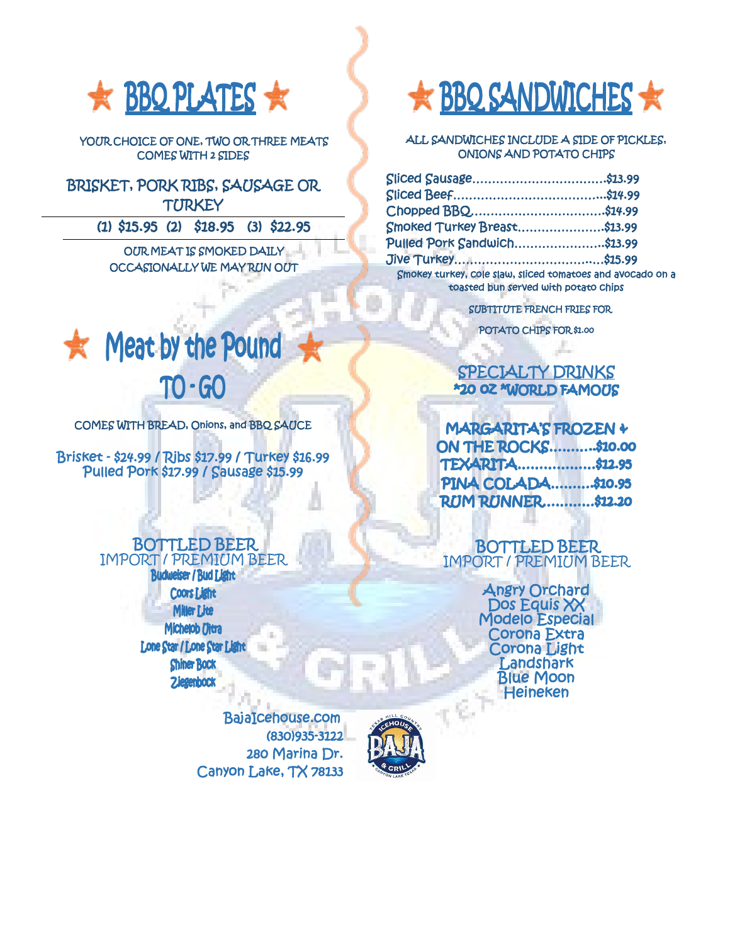

YOUR CHOICE OF ONE, TWO OR THREE MEATS COMES WITH 2 SIDES

BRISKET, PORK RIBS, SAUSAGE OR **TURKEY** 

(1) \$15.95 (2) \$18.95 (3) \$22.95

OUR MEAT IS SMOKED DAILY OCCASIONALLY WE MAY RUN OUT



COMES WITH BREAD, Onions, and BBQ SAUCE

Brisket - \$24.99 / Ribs \$17.99 / Turkey \$16.99 Pulled Pork \$17.99 / Sausage \$15.99

## BOTTLED BEER IMPORT / PREMIUM BEER

**Budweiser / Bud Light Coors Light Miller Lite** Michelob Ultra Lone Star / Lone Star Light **Shiner Bock Ziegenbock** 

> BajaIcehouse.com (830)935-3122 280 Marina Dr. Canyon Lake, TX 78133



í



 ALL SANDWICHES INCLUDE A SIDE OF PICKLES, ONIONS AND POTATO CHIPS

| Sliced Sausage\$13.99                                                                              |  |
|----------------------------------------------------------------------------------------------------|--|
|                                                                                                    |  |
| Chopped BBQ\$14.99                                                                                 |  |
| <b>Smoked Turkey Breast\$13.99</b>                                                                 |  |
| <b>Pulled Pork Sandwich\$13.99</b>                                                                 |  |
|                                                                                                    |  |
| Smokey turkey, cole slaw, sliced tomatoes and avocado on a<br>toasted bun served with potato chips |  |
|                                                                                                    |  |

SUBTITUTE FRENCH FRIES FOR

POTATO CHIPS FOR \$1.00

## ļ SPECIALTY DRINKS \*20 OZ \*WORLD FAMOUS

| MARGARITA'S FROZEN +       |  |
|----------------------------|--|
| <b>ON THE ROCKS\$10.00</b> |  |
| <b>TEXARITA\$12.95</b>     |  |
| PINA COLADA\$10.95         |  |
| <b>RUM RUNNER\$12.20</b>   |  |

 BOTTLED BEER IMPORT / PREMIUM BEER

. .

Angry Orchard Dos Equis XX Modelo Especial Corona Extra Corona Light Landshark Blue Moon **Heineken**